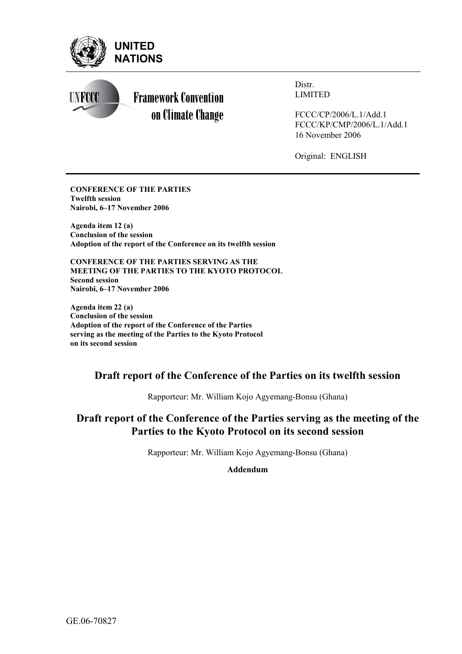



Distr. LIMITED

FCCC/CP/2006/L.1/Add.1 FCCC/KP/CMP/2006/L.1/Add.1 16 November 2006

Original: ENGLISH

**CONFERENCE OF THE PARTIES Twelfth session Nairobi, 6–17 November 2006** 

**Agenda item 12 (a) Conclusion of the session Adoption of the report of the Conference on its twelfth session** 

**CONFERENCE OF THE PARTIES SERVING AS THE MEETING OF THE PARTIES TO THE KYOTO PROTOCOL Second session Nairobi, 6–17 November 2006** 

**Agenda item 22 (a) Conclusion of the session Adoption of the report of the Conference of the Parties serving as the meeting of the Parties to the Kyoto Protocol on its second session** 

## **Draft report of the Conference of the Parties on its twelfth session**

Rapporteur: Mr. William Kojo Agyemang-Bonsu (Ghana)

# **Draft report of the Conference of the Parties serving as the meeting of the Parties to the Kyoto Protocol on its second session**

Rapporteur: Mr. William Kojo Agyemang-Bonsu (Ghana)

**Addendum**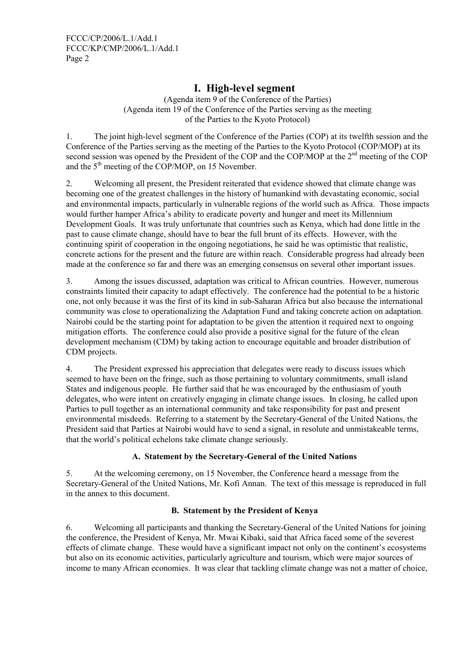FCCC/CP/2006/L.1/Add.1 FCCC/KP/CMP/2006/L.1/Add.1 Page 2

## **I. High-level segment**

(Agenda item 9 of the Conference of the Parties) (Agenda item 19 of the Conference of the Parties serving as the meeting of the Parties to the Kyoto Protocol)

1. The joint high-level segment of the Conference of the Parties (COP) at its twelfth session and the Conference of the Parties serving as the meeting of the Parties to the Kyoto Protocol (COP/MOP) at its second session was opened by the President of the COP and the COP/MOP at the 2<sup>nd</sup> meeting of the COP and the  $5<sup>th</sup>$  meeting of the COP/MOP, on 15 November.

2. Welcoming all present, the President reiterated that evidence showed that climate change was becoming one of the greatest challenges in the history of humankind with devastating economic, social and environmental impacts, particularly in vulnerable regions of the world such as Africa. Those impacts would further hamper Africa's ability to eradicate poverty and hunger and meet its Millennium Development Goals. It was truly unfortunate that countries such as Kenya, which had done little in the past to cause climate change, should have to bear the full brunt of its effects. However, with the continuing spirit of cooperation in the ongoing negotiations, he said he was optimistic that realistic, concrete actions for the present and the future are within reach. Considerable progress had already been made at the conference so far and there was an emerging consensus on several other important issues.

3. Among the issues discussed, adaptation was critical to African countries. However, numerous constraints limited their capacity to adapt effectively. The conference had the potential to be a historic one, not only because it was the first of its kind in sub-Saharan Africa but also because the international community was close to operationalizing the Adaptation Fund and taking concrete action on adaptation. Nairobi could be the starting point for adaptation to be given the attention it required next to ongoing mitigation efforts. The conference could also provide a positive signal for the future of the clean development mechanism (CDM) by taking action to encourage equitable and broader distribution of CDM projects.

4. The President expressed his appreciation that delegates were ready to discuss issues which seemed to have been on the fringe, such as those pertaining to voluntary commitments, small island States and indigenous people. He further said that he was encouraged by the enthusiasm of youth delegates, who were intent on creatively engaging in climate change issues. In closing, he called upon Parties to pull together as an international community and take responsibility for past and present environmental misdeeds. Referring to a statement by the Secretary-General of the United Nations, the President said that Parties at Nairobi would have to send a signal, in resolute and unmistakeable terms, that the world's political echelons take climate change seriously.

## **A. Statement by the Secretary-General of the United Nations**

5. At the welcoming ceremony, on 15 November, the Conference heard a message from the Secretary-General of the United Nations, Mr. Kofi Annan. The text of this message is reproduced in full in the annex to this document.

## **B. Statement by the President of Kenya**

6. Welcoming all participants and thanking the Secretary-General of the United Nations for joining the conference, the President of Kenya, Mr. Mwai Kibaki, said that Africa faced some of the severest effects of climate change. These would have a significant impact not only on the continent's ecosystems but also on its economic activities, particularly agriculture and tourism, which were major sources of income to many African economies. It was clear that tackling climate change was not a matter of choice,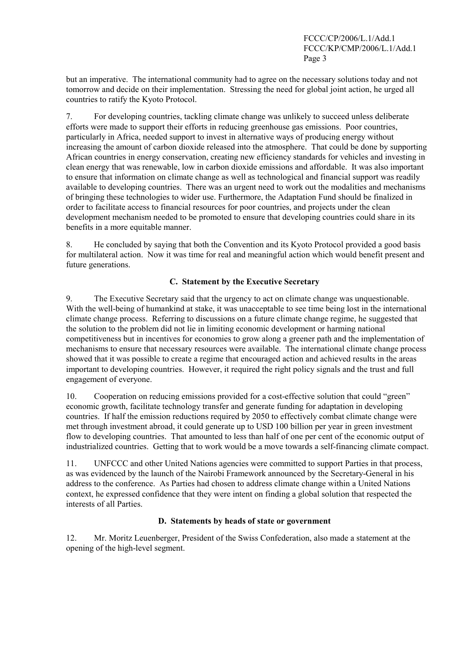but an imperative. The international community had to agree on the necessary solutions today and not tomorrow and decide on their implementation. Stressing the need for global joint action, he urged all countries to ratify the Kyoto Protocol.

7. For developing countries, tackling climate change was unlikely to succeed unless deliberate efforts were made to support their efforts in reducing greenhouse gas emissions. Poor countries, particularly in Africa, needed support to invest in alternative ways of producing energy without increasing the amount of carbon dioxide released into the atmosphere. That could be done by supporting African countries in energy conservation, creating new efficiency standards for vehicles and investing in clean energy that was renewable, low in carbon dioxide emissions and affordable. It was also important to ensure that information on climate change as well as technological and financial support was readily available to developing countries. There was an urgent need to work out the modalities and mechanisms of bringing these technologies to wider use. Furthermore, the Adaptation Fund should be finalized in order to facilitate access to financial resources for poor countries, and projects under the clean development mechanism needed to be promoted to ensure that developing countries could share in its benefits in a more equitable manner.

8. He concluded by saying that both the Convention and its Kyoto Protocol provided a good basis for multilateral action. Now it was time for real and meaningful action which would benefit present and future generations.

## **C. Statement by the Executive Secretary**

9. The Executive Secretary said that the urgency to act on climate change was unquestionable. With the well-being of humankind at stake, it was unacceptable to see time being lost in the international climate change process. Referring to discussions on a future climate change regime, he suggested that the solution to the problem did not lie in limiting economic development or harming national competitiveness but in incentives for economies to grow along a greener path and the implementation of mechanisms to ensure that necessary resources were available. The international climate change process showed that it was possible to create a regime that encouraged action and achieved results in the areas important to developing countries. However, it required the right policy signals and the trust and full engagement of everyone.

10. Cooperation on reducing emissions provided for a cost-effective solution that could "green" economic growth, facilitate technology transfer and generate funding for adaptation in developing countries. If half the emission reductions required by 2050 to effectively combat climate change were met through investment abroad, it could generate up to USD 100 billion per year in green investment flow to developing countries. That amounted to less than half of one per cent of the economic output of industrialized countries. Getting that to work would be a move towards a self-financing climate compact.

11. UNFCCC and other United Nations agencies were committed to support Parties in that process, as was evidenced by the launch of the Nairobi Framework announced by the Secretary-General in his address to the conference. As Parties had chosen to address climate change within a United Nations context, he expressed confidence that they were intent on finding a global solution that respected the interests of all Parties.

## **D. Statements by heads of state or government**

12. Mr. Moritz Leuenberger, President of the Swiss Confederation, also made a statement at the opening of the high-level segment.